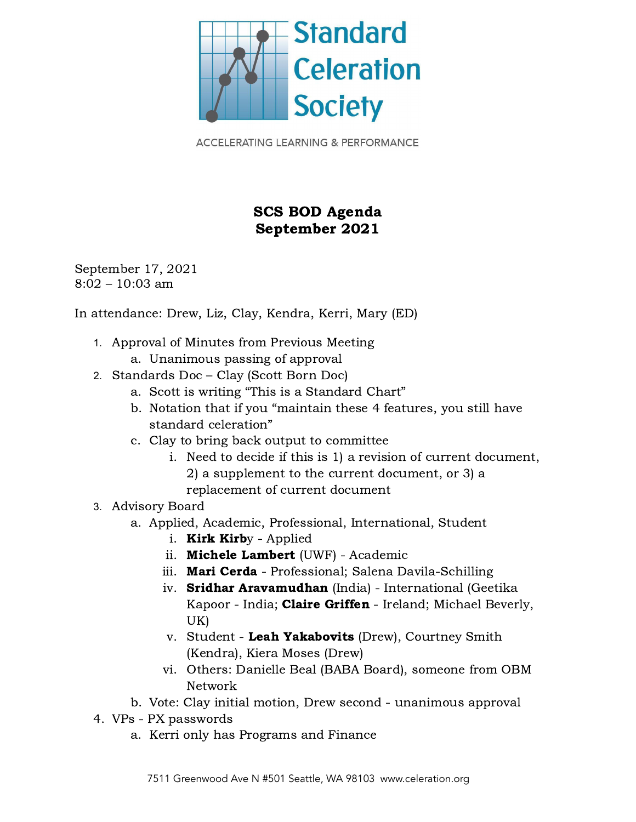

**ACCELERATING LEARNING & PERFORMANCE** 

## SCS BOD Agenda September 2021

September 17, 2021 8:02 – 10:03 am

In attendance: Drew, Liz, Clay, Kendra, Kerri, Mary (ED)

- 1. Approval of Minutes from Previous Meeting
	- a. Unanimous passing of approval
- 2. Standards Doc Clay (Scott Born Doc)
	- a. Scott is writing "This is a Standard Chart"
	- b. Notation that if you "maintain these 4 features, you still have standard celeration"
	- c. Clay to bring back output to committee
		- i. Need to decide if this is 1) a revision of current document, 2) a supplement to the current document, or 3) a replacement of current document
- 3. Advisory Board
	- a. Applied, Academic, Professional, International, Student
		- i. **Kirk Kirb**y Applied
		- ii. Michele Lambert (UWF) Academic
		- iii. Mari Cerda Professional; Salena Davila-Schilling
		- iv. Sridhar Aravamudhan (India) International (Geetika Kapoor - India; Claire Griffen - Ireland; Michael Beverly, UK)
		- v. Student Leah Yakabovits (Drew), Courtney Smith (Kendra), Kiera Moses (Drew)
		- vi. Others: Danielle Beal (BABA Board), someone from OBM Network
	- b. Vote: Clay initial motion, Drew second unanimous approval
- 4. VPs PX passwords
	- a. Kerri only has Programs and Finance